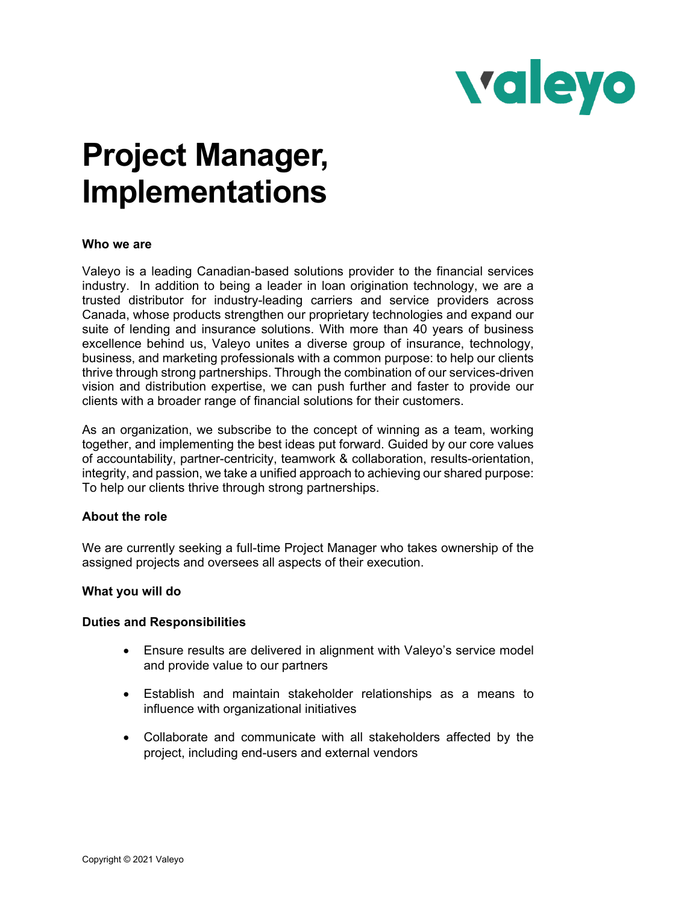

# **Project Manager, Implementations**

# **Who we are**

Valeyo is a leading Canadian-based solutions provider to the financial services industry. In addition to being a leader in loan origination technology, we are a trusted distributor for industry-leading carriers and service providers across Canada, whose products strengthen our proprietary technologies and expand our suite of lending and insurance solutions. With more than 40 years of business excellence behind us, Valeyo unites a diverse group of insurance, technology, business, and marketing professionals with a common purpose: to help our clients thrive through strong partnerships. Through the combination of our services-driven vision and distribution expertise, we can push further and faster to provide our clients with a broader range of financial solutions for their customers.

As an organization, we subscribe to the concept of winning as a team, working together, and implementing the best ideas put forward. Guided by our core values of accountability, partner-centricity, teamwork & collaboration, results-orientation, integrity, and passion, we take a unified approach to achieving our shared purpose: To help our clients thrive through strong partnerships.

### **About the role**

We are currently seeking a full-time Project Manager who takes ownership of the assigned projects and oversees all aspects of their execution.

# **What you will do**

#### **Duties and Responsibilities**

- Ensure results are delivered in alignment with Valeyo's service model and provide value to our partners
- Establish and maintain stakeholder relationships as a means to influence with organizational initiatives
- Collaborate and communicate with all stakeholders affected by the project, including end-users and external vendors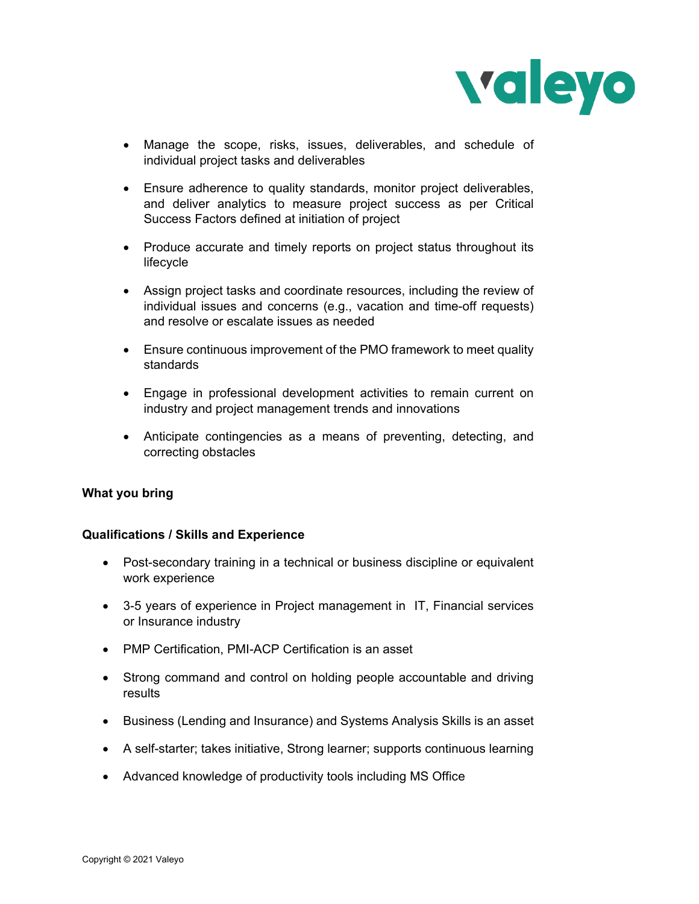

- Manage the scope, risks, issues, deliverables, and schedule of individual project tasks and deliverables
- Ensure adherence to quality standards, monitor project deliverables, and deliver analytics to measure project success as per Critical Success Factors defined at initiation of project
- Produce accurate and timely reports on project status throughout its lifecycle
- Assign project tasks and coordinate resources, including the review of individual issues and concerns (e.g., vacation and time-off requests) and resolve or escalate issues as needed
- Ensure continuous improvement of the PMO framework to meet quality standards
- Engage in professional development activities to remain current on industry and project management trends and innovations
- Anticipate contingencies as a means of preventing, detecting, and correcting obstacles

# **What you bring**

# **Qualifications / Skills and Experience**

- Post-secondary training in a technical or business discipline or equivalent work experience
- 3-5 years of experience in Project management in IT, Financial services or Insurance industry
- PMP Certification, PMI-ACP Certification is an asset
- Strong command and control on holding people accountable and driving results
- Business (Lending and Insurance) and Systems Analysis Skills is an asset
- A self-starter; takes initiative, Strong learner; supports continuous learning
- Advanced knowledge of productivity tools including MS Office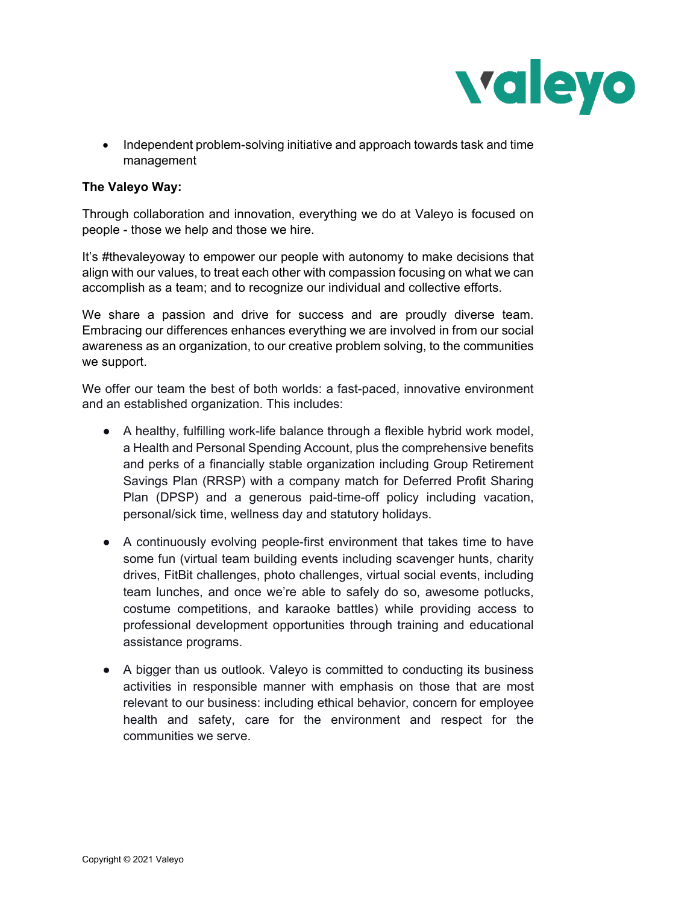

• Independent problem-solving initiative and approach towards task and time management

# **The Valeyo Way:**

Through collaboration and innovation, everything we do at Valeyo is focused on people - those we help and those we hire.

It's #thevaleyoway to empower our people with autonomy to make decisions that align with our values, to treat each other with compassion focusing on what we can accomplish as a team; and to recognize our individual and collective efforts.

We share a passion and drive for success and are proudly diverse team. Embracing our differences enhances everything we are involved in from our social awareness as an organization, to our creative problem solving, to the communities we support.

We offer our team the best of both worlds: a fast-paced, innovative environment and an established organization. This includes:

- $\bullet$  A healthy, fulfilling work-life balance through a flexible hybrid work model, a Health and Personal Spending Account, plus the comprehensive benefits and perks of a financially stable organization including Group Retirement Savings Plan (RRSP) with a company match for Deferred Profit Sharing Plan (DPSP) and a generous paid-time-off policy including vacation, personal/sick time, wellness day and statutory holidays.
- A continuously evolving people-first environment that takes time to have some fun (virtual team building events including scavenger hunts, charity drives, FitBit challenges, photo challenges, virtual social events, including team lunches, and once we're able to safely do so, awesome potlucks, costume competitions, and karaoke battles) while providing access to professional development opportunities through training and educational assistance programs.
- A bigger than us outlook. Valeyo is committed to conducting its business activities in responsible manner with emphasis on those that are most relevant to our business: including ethical behavior, concern for employee health and safety, care for the environment and respect for the communities we serve.